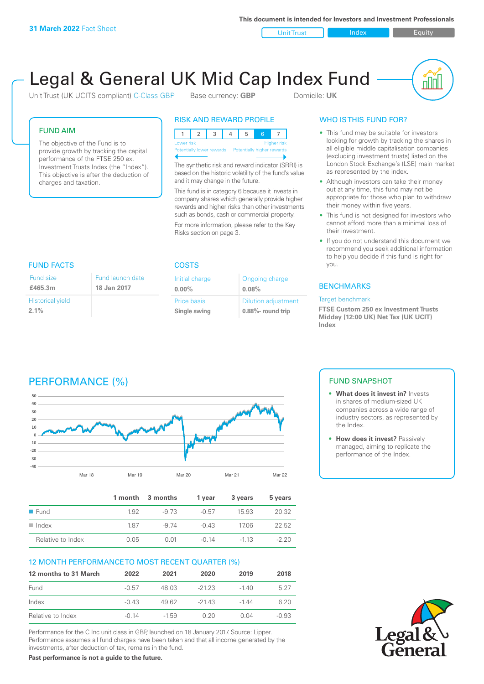**This document is intended for Investors and Investment Professionals**

Unit Trust Index I Equity

# Legal & General UK Mid Cap Index Fund

Initial charge **0.00%**

Price basis **Single swing**

Unit Trust (UK UCITS compliant) C-Class GBP Base currency: **GBP** Domicile: UK

nnl

### FUND AIM

The objective of the Fund is to provide growth by tracking the capital performance of the FTSE 250 ex. Investment Trusts Index (the "Index"). This objective is after the deduction of charges and taxation.

FUND FACTS COSTS

Fund launch date **18 Jan 2017**

### RISK AND REWARD PROFILE

| <b>Higher risk</b><br>Lower risk |  |  |  |  |                            |  |  |  |
|----------------------------------|--|--|--|--|----------------------------|--|--|--|
| Potentially lower rewards        |  |  |  |  | Potentially higher rewards |  |  |  |
|                                  |  |  |  |  |                            |  |  |  |

The synthetic risk and reward indicator (SRRI) is based on the historic volatility of the fund's value and it may change in the future.

This fund is in category 6 because it invests in company shares which generally provide higher rewards and higher risks than other investments such as bonds, cash or commercial property.

For more information, please refer to the Key Risks section on page 3.

Ongoing charge

Dilution adjustment **0.88%- round trip**

**0.08%**

# WHO IS THIS FUND FOR?

- This fund may be suitable for investors looking for growth by tracking the shares in all eligible middle capitalisation companies (excluding investment trusts) listed on the London Stock Exchange's (LSE) main market as represented by the index.
- Although investors can take their money out at any time, this fund may not be appropriate for those who plan to withdraw their money within five years.
- This fund is not designed for investors who cannot afford more than a minimal loss of their investment.
- If you do not understand this document we recommend you seek additional information to help you decide if this fund is right for you.

### **BENCHMARKS**

### Target benchmark

**FTSE Custom 250 ex Investment Trusts Midday (12:00 UK) Net Tax (UK UCIT) Index**

## **£465.3m**

Fund size

Historical yield **2.1%**

# PERFORMANCE (%)



|                      |      | 1 month 3 months | 1 vear  | 3 years | 5 years |
|----------------------|------|------------------|---------|---------|---------|
| $\blacksquare$ Fund  | 1.92 | -9.73            | $-0.57$ | 15.93   | 20.32   |
| $\blacksquare$ Index | 187  | -9.74            | $-0.43$ | 1706    | 22.52   |
| Relative to Index    | 0.05 | 0 Q1             | -0.14   | $-113$  | $-220$  |

### 12 MONTH PERFORMANCE TO MOST RECENT QUARTER (%)

| 12 months to 31 March | 2022    | 2021    | 2020    | 2019    | 2018    |
|-----------------------|---------|---------|---------|---------|---------|
| Fund                  | $-0.57$ | 48.03   | $-2123$ | $-140$  | 5 27    |
| Index                 | $-0.43$ | 49.62   | $-2143$ | $-1.44$ | 6.20    |
| Relative to Index     | $-0.14$ | $-1.59$ | 0.20    | 0 Q4    | $-0.93$ |

Performance for the C Inc unit class in GBP, launched on 18 January 2017. Source: Lipper. Performance assumes all fund charges have been taken and that all income generated by the investments, after deduction of tax, remains in the fund.

**Past performance is not a guide to the future.**

### FUND SNAPSHOT

- **• What does it invest in?** Invests in shares of medium-sized UK companies across a wide range of industry sectors, as represented by the Index.
- **• How does it invest?** Passively managed, aiming to replicate the performance of the Index.

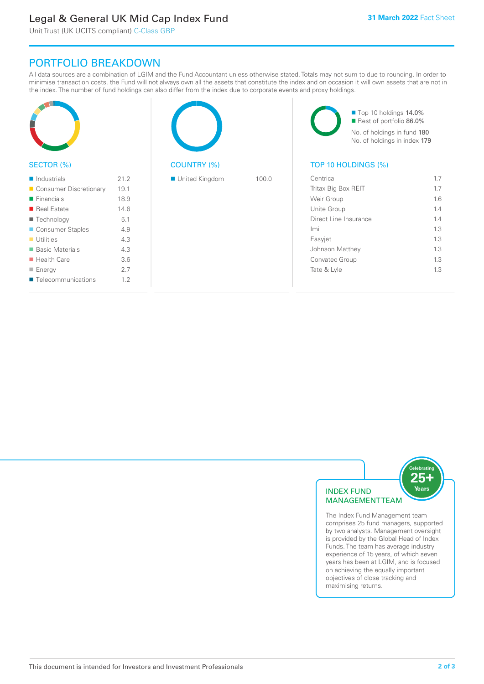### Legal & General UK Mid Cap Index Fund

Unit Trust (UK UCITS compliant) C-Class GBP

### PORTFOLIO BREAKDOWN

All data sources are a combination of LGIM and the Fund Accountant unless otherwise stated. Totals may not sum to due to rounding. In order to minimise transaction costs, the Fund will not always own all the assets that constitute the index and on occasion it will own assets that are not in the index. The number of fund holdings can also differ from the index due to corporate events and proxy holdings.

| SECTOR (%)                 |      | <b>COUNTRY (%)</b> |       | Top 10 holdings 14.0%<br>Rest of portfolio 86.0%<br>No. of holdings in fund 180<br>No. of holdings in index 179<br>TOP 10 HOLDINGS (%) |     |
|----------------------------|------|--------------------|-------|----------------------------------------------------------------------------------------------------------------------------------------|-----|
| $\blacksquare$ Industrials | 21.2 | United Kingdom     | 100.0 | Centrica                                                                                                                               | 1.7 |
| Consumer Discretionary     | 19.1 |                    |       | Tritax Big Box REIT                                                                                                                    | 1.7 |
| $\blacksquare$ Financials  | 18.9 |                    |       | Weir Group                                                                                                                             | 1.6 |
| Real Estate                | 14.6 |                    |       | Unite Group                                                                                                                            | 1.4 |
| ■ Technology               | 5.1  |                    |       | Direct Line Insurance                                                                                                                  | 1.4 |
| Consumer Staples           | 4.9  |                    |       | Imi                                                                                                                                    | 1.3 |
| $\blacksquare$ Utilities   | 4.3  |                    |       | Easyjet                                                                                                                                | 1.3 |
| ■ Basic Materials          | 4.3  |                    |       | Johnson Matthey                                                                                                                        | 1.3 |
| $\blacksquare$ Health Care | 3.6  |                    |       | Convatec Group                                                                                                                         | 1.3 |
| $\blacksquare$ Energy      | 2.7  |                    |       | Tate & Lyle                                                                                                                            | 1.3 |
| ■ Telecommunications       | 1.2  |                    |       |                                                                                                                                        |     |



The Index Fund Management team comprises 25 fund managers, supported by two analysts. Management oversight is provided by the Global Head of Index Funds. The team has average industry experience of 15 years, of which seven years has been at LGIM, and is focused on achieving the equally important objectives of close tracking and maximising returns.